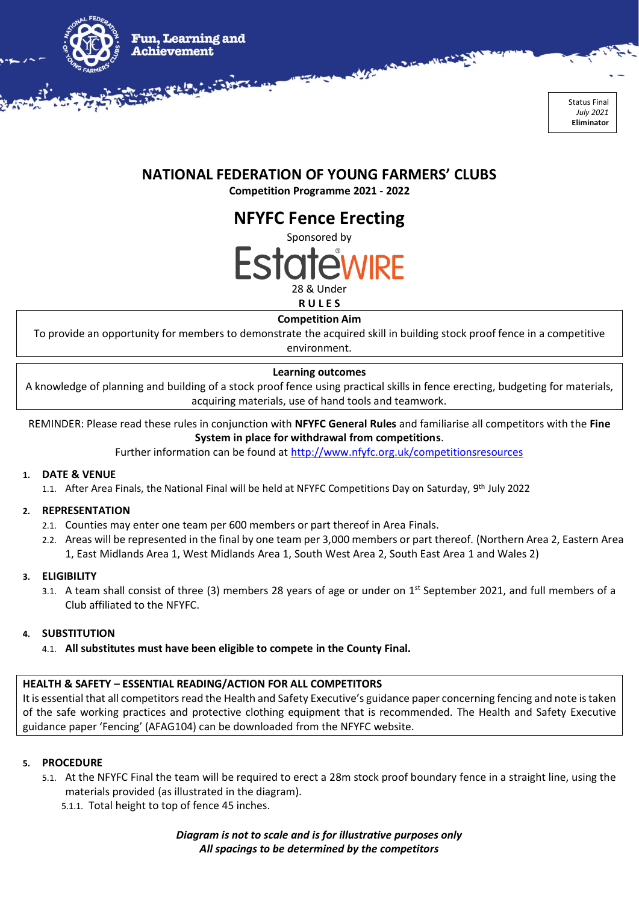

## **NATIONAL FEDERATION OF YOUNG FARMERS' CLUBS**

**Competition Programme 2021 - 2022**

**NFYFC Fence Erecting**



**Competition Aim**

To provide an opportunity for members to demonstrate the acquired skill in building stock proof fence in a competitive environment.

## **Learning outcomes**

A knowledge of planning and building of a stock proof fence using practical skills in fence erecting, budgeting for materials, acquiring materials, use of hand tools and teamwork.

REMINDER: Please read these rules in conjunction with **NFYFC General Rules** and familiarise all competitors with the **Fine System in place for withdrawal from competitions**.

Further information can be found at<http://www.nfyfc.org.uk/competitionsresources>

### **1. DATE & VENUE**

1.1. After Area Finals, the National Final will be held at NFYFC Competitions Day on Saturday, 9<sup>th</sup> July 2022

### **2. REPRESENTATION**

- 2.1. Counties may enter one team per 600 members or part thereof in Area Finals.
- 2.2. Areas will be represented in the final by one team per 3,000 members or part thereof. (Northern Area 2, Eastern Area 1, East Midlands Area 1, West Midlands Area 1, South West Area 2, South East Area 1 and Wales 2)

### **3. ELIGIBILITY**

3.1. A team shall consist of three (3) members 28 years of age or under on 1<sup>st</sup> September 2021, and full members of a Club affiliated to the NFYFC.

### **4. SUBSTITUTION**

4.1. **All substitutes must have been eligible to compete in the County Final.**

### **HEALTH & SAFETY – ESSENTIAL READING/ACTION FOR ALL COMPETITORS**

It is essential that all competitors read the Health and Safety Executive's guidance paper concerning fencing and note is taken of the safe working practices and protective clothing equipment that is recommended. The Health and Safety Executive guidance paper 'Fencing' (AFAG104) can be downloaded from the NFYFC website.

### **5. PROCEDURE**

- 5.1. At the NFYFC Final the team will be required to erect a 28m stock proof boundary fence in a straight line, using the materials provided (as illustrated in the diagram).
	- 5.1.1. Total height to top of fence 45 inches.

*Diagram is not to scale and is for illustrative purposes only All spacings to be determined by the competitors*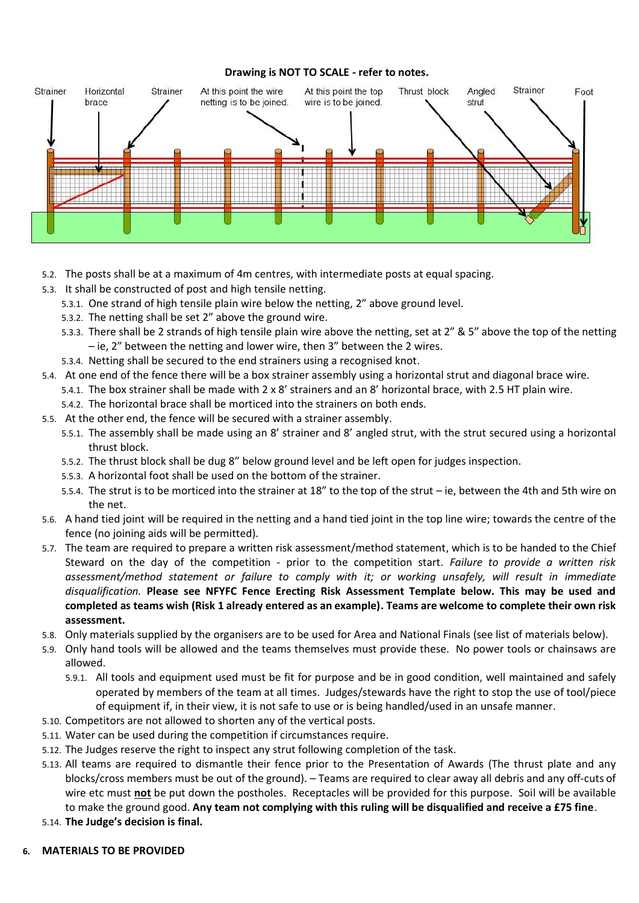#### **Drawing is NOT TO SCALE - refer to notes.**



- 5.2. The posts shall be at a maximum of 4m centres, with intermediate posts at equal spacing.
- 5.3. It shall be constructed of post and high tensile netting.
	- 5.3.1. One strand of high tensile plain wire below the netting, 2" above ground level.
	- 5.3.2. The netting shall be set 2" above the ground wire.
	- 5.3.3. There shall be 2 strands of high tensile plain wire above the netting, set at 2" & 5" above the top of the netting – ie, 2" between the netting and lower wire, then 3" between the 2 wires.
	- 5.3.4. Netting shall be secured to the end strainers using a recognised knot.
- 5.4. At one end of the fence there will be a box strainer assembly using a horizontal strut and diagonal brace wire.
	- 5.4.1. The box strainer shall be made with 2 x 8' strainers and an 8' horizontal brace, with 2.5 HT plain wire.
	- 5.4.2. The horizontal brace shall be morticed into the strainers on both ends.
- 5.5. At the other end, the fence will be secured with a strainer assembly.
	- 5.5.1. The assembly shall be made using an 8' strainer and 8' angled strut, with the strut secured using a horizontal thrust block.
	- 5.5.2. The thrust block shall be dug 8" below ground level and be left open for judges inspection.
	- 5.5.3. A horizontal foot shall be used on the bottom of the strainer.
	- 5.5.4. The strut is to be morticed into the strainer at 18" to the top of the strut ie, between the 4th and 5th wire on the net.
- 5.6. A hand tied joint will be required in the netting and a hand tied joint in the top line wire; towards the centre of the fence (no joining aids will be permitted).
- 5.7. The team are required to prepare a written risk assessment/method statement, which is to be handed to the Chief Steward on the day of the competition - prior to the competition start. *Failure to provide a written risk assessment/method statement or failure to comply with it; or working unsafely, will result in immediate disqualification.* **Please see NFYFC Fence Erecting Risk Assessment Template below. This may be used and completed as teams wish (Risk 1 already entered as an example). Teams are welcome to complete their own risk assessment.**
- 5.8. Only materials supplied by the organisers are to be used for Area and National Finals (see list of materials below).
- 5.9. Only hand tools will be allowed and the teams themselves must provide these. No power tools or chainsaws are allowed.
	- 5.9.1. All tools and equipment used must be fit for purpose and be in good condition, well maintained and safely operated by members of the team at all times. Judges/stewards have the right to stop the use of tool/piece of equipment if, in their view, it is not safe to use or is being handled/used in an unsafe manner.
- 5.10. Competitors are not allowed to shorten any of the vertical posts.
- 5.11. Water can be used during the competition if circumstances require.
- 5.12. The Judges reserve the right to inspect any strut following completion of the task.
- 5.13. All teams are required to dismantle their fence prior to the Presentation of Awards (The thrust plate and any blocks/cross members must be out of the ground). – Teams are required to clear away all debris and any off-cuts of wire etc must **not** be put down the postholes. Receptacles will be provided for this purpose. Soil will be available to make the ground good. **Any team not complying with this ruling will be disqualified and receive a £75 fine**.
- 5.14. **The Judge's decision is final.**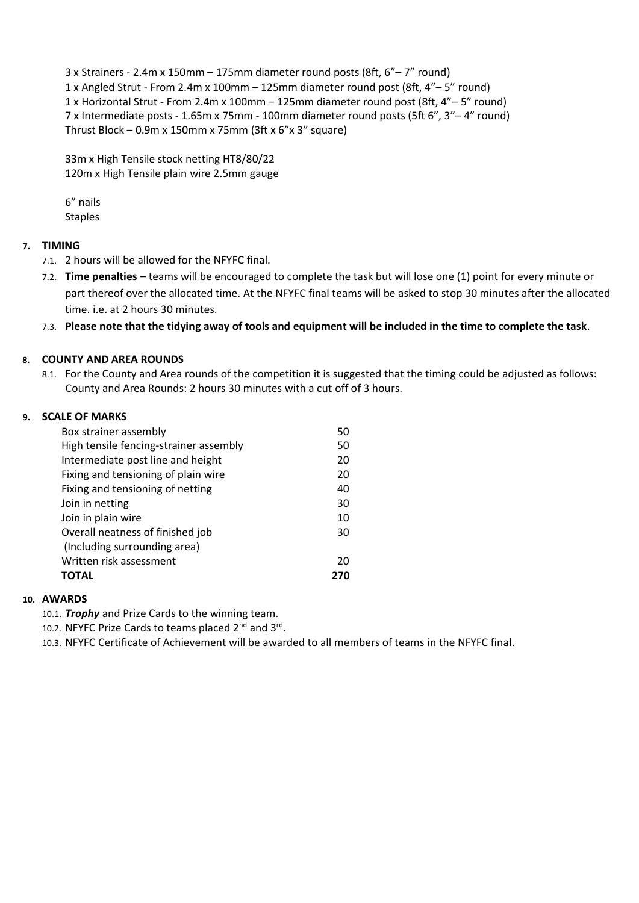3 x Strainers - 2.4m x 150mm – 175mm diameter round posts (8ft, 6"– 7" round) 1 x Angled Strut - From 2.4m x 100mm – 125mm diameter round post (8ft, 4"– 5" round) 1 x Horizontal Strut - From 2.4m x 100mm – 125mm diameter round post (8ft, 4"– 5" round) 7 x Intermediate posts - 1.65m x 75mm - 100mm diameter round posts (5ft 6", 3"– 4" round) Thrust Block – 0.9m x 150mm x 75mm (3ft x  $6''$ x 3" square)

33m x High Tensile stock netting HT8/80/22 120m x High Tensile plain wire 2.5mm gauge

6" nails Staples

## **7. TIMING**

- 7.1. 2 hours will be allowed for the NFYFC final.
- 7.2. **Time penalties** teams will be encouraged to complete the task but will lose one (1) point for every minute or part thereof over the allocated time. At the NFYFC final teams will be asked to stop 30 minutes after the allocated time. i.e. at 2 hours 30 minutes.
- 7.3. **Please note that the tidying away of tools and equipment will be included in the time to complete the task**.

## **8. COUNTY AND AREA ROUNDS**

8.1. For the County and Area rounds of the competition it is suggested that the timing could be adjusted as follows: County and Area Rounds: 2 hours 30 minutes with a cut off of 3 hours.

## **9. SCALE OF MARKS**

| Box strainer assembly                  | 50  |
|----------------------------------------|-----|
| High tensile fencing-strainer assembly | 50  |
| Intermediate post line and height      | 20  |
| Fixing and tensioning of plain wire    | 20  |
| Fixing and tensioning of netting       | 40  |
| Join in netting                        | 30  |
| Join in plain wire                     | 10  |
| Overall neatness of finished job       | 30  |
| (Including surrounding area)           |     |
| Written risk assessment                | 20  |
| <b>TOTAL</b>                           | 270 |

### **10. AWARDS**

10.1. *Trophy* and Prize Cards to the winning team.

10.2. NFYFC Prize Cards to teams placed 2<sup>nd</sup> and 3rd.

10.3. NFYFC Certificate of Achievement will be awarded to all members of teams in the NFYFC final.